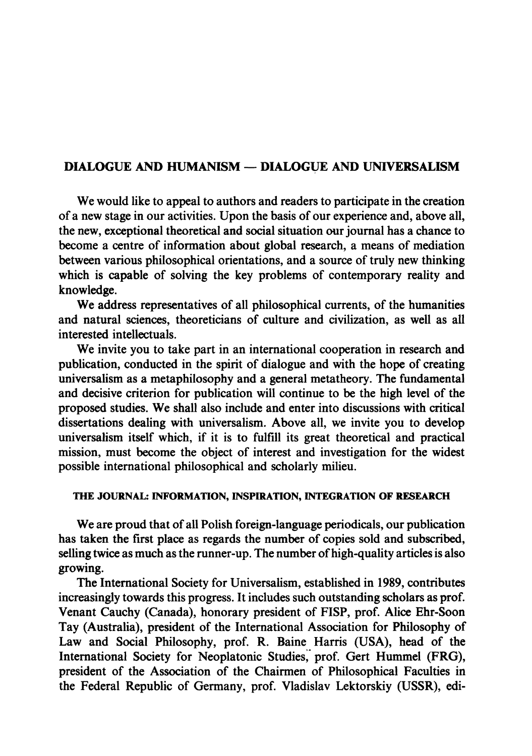# **DIALOGUE AND HUMANISM — DIALOGUE AND UNIVERSALISM**

We would like to appeal to authors and readers to participate in the creation of a new stage in our activities. Upon the basis of our experience and, above all, the new, exceptional theoretical and social situation our journal has a chance to become a centre of information about global research, a means of mediation between various philosophical orientations, and a source of truly new thinking which is capable of solving the key problems of contemporary reality and knowledge.

We address representatives of all philosophical currents, of the humanities and natural sciences, theoreticians of culture and civilization, as well as all interested intellectuals.

We invite you to take part in an international cooperation in research and publication, conducted in the spirit of dialogue and with the hope of creating universalism as a metaphilosophy and a general metatheory. The fundamental and decisive criterion for publication will continue to be the high level of the proposed studies. We shall also include and enter into discussions with critical dissertations dealing with universalism. Above all, we invite you to develop universalism itself which, if it is to fulfill its great theoretical and practical mission, must become the object of interest and investigation for the widest possible international philosophical and scholarly milieu.

## **T HE JOURNAL: INFORMATION, INSPIRATION, INTEGRATION OF RESEARCH**

We are proud that of all Polish foreign-language periodicals, our publication has taken the first place as regards the number of copies sold and subscribed, selling twice as much as the runner-up. The number of high-quality articles is also growing.

The International Society for Universalism, established in 1989, contributes increasingly towards this progress. It includes such outstanding scholars as prof Venant Cauchy (Canada), honorary president of FISP, prof. Alice Ehr-Soon Tay (Australia), president of the International Association for Philosophy of Law and Social Philosophy, prof. R. Baine Harris (USA), head of the International Society for Neoplatonic Studies, prof. Gert Hummel (FRG), president of the Association of the Chairmen of Philosophical Faculties in the Federal Republic of Germany, prof. Vladislav Lektorskiy (USSR), edi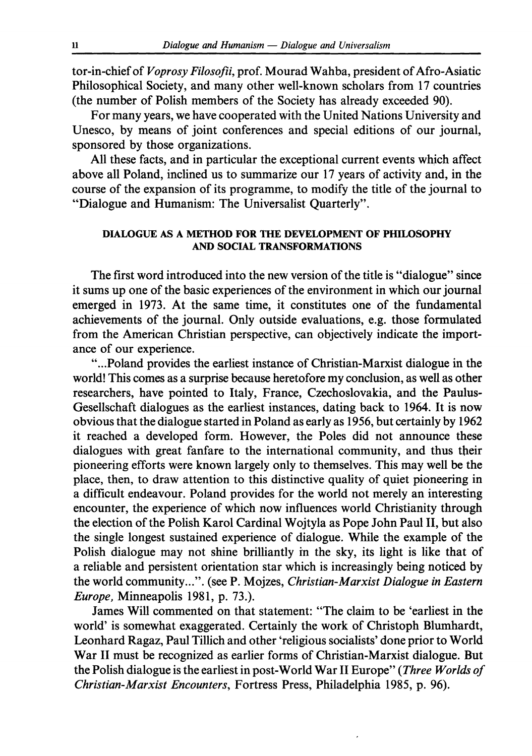tor-in-chief of *Voprosy Filosofii*, prof. Mourad Wahba, president of Afro-Asiatic Philosophical Society, and many other well-known scholars from 17 countries (the number of Polish members of the Society has already exceeded 90).

For many years, we have cooperated with the United Nations University and Unesco, by means of joint conferences and special editions of our journal, sponsored by those organizations.

All these facts, and in particular the exceptional current events which affect above all Poland, inclined us to summarize our 17 years of activity and, in the course of the expansion of its programme, to modify the title of the journal to "Dialogue and Humanism: The Universalist Quarterly".

## **DIALOGUE AS A METHOD FOR THE DEVELOPMENT OF PHILOSOPHY AND SOCIAL TRANSFORMATIONS**

The first word introduced into the new version of the title is "dialogue" since it sums up one of the basic experiences of the environment in which our journal emerged in 1973. At the same time, it constitutes one of the fundamental achievements of the journal. Only outside evaluations, e.g. those formulated from the American Christian perspective, can objectively indicate the importance of our experience.

"...Poland provides the earliest instance of Christian-Marxist dialogue in the world! This comes as a surprise because heretofore my conclusion, as well as other researchers, have pointed to Italy, France, Czechoslovakia, and the Paulus-Gesellschaft dialogues as the earliest instances, dating back to 1964. It is now obvious that the dialogue started in Poland as early as 1956, but certainly by 1962 it reached a developed form. However, the Poles did not announce these dialogues with great fanfare to the international community, and thus their pioneering efforts were known largely only to themselves. This may well be the place, then, to draw attention to this distinctive quality of quiet pioneering in a difficult endeavour. Poland provides for the world not merely an interesting encounter, the experience of which now influences world Christianity through the election of the Polish Karol Cardinal Wojtyla as Pope John Paul II, but also the single longest sustained experience of dialogue. While the example of the Polish dialogue may not shine brilliantly in the sky, its light is like that of a reliable and persistent orientation star which is increasingly being noticed by the world community...", (see P. Mojzes, *Christian-Marxist Dialogue in Eastern Europe,* Minneapolis 1981, p. 73.).

James Will commented on that statement: "The claim to be 'earliest in the world' is somewhat exaggerated. Certainly the work of Christoph Blumhardt, Leonhard Ragaz, Paul Tillich and other 'religious socialists' done prior to World War II must be recognized as earlier forms of Christian-Marxist dialogue. But the Polish dialogue is the earliest in post-World War II Europe" (Three Worlds of *Christian-Marxist Encounters,* Fortress Press, Philadelphia 1985, p. 96).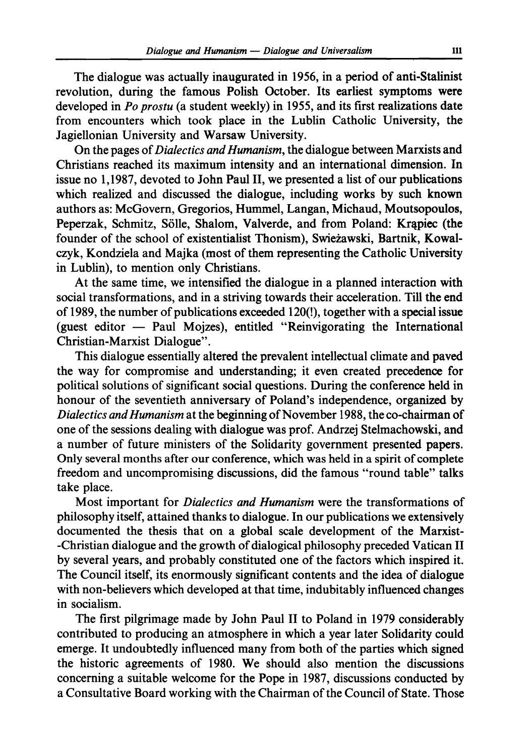The dialogue was actually inaugurated in 1956, in a period of anti-Stalinist revolution, during the famous Polish October. Its earliest symptoms were developed in *Po prostu* (a student weekly) in 1955, and its first realizations date from encounters which took place in the Lublin Catholic University, the Jagiellonian University and Warsaw University.

On the pages of *Dialectics and Humanism,* the dialogue between Marxists and Christians reached its maximum intensity and an international dimension. In issue no 1,1987, devoted to John Paul II, we presented a list of our publications which realized and discussed the dialogue, including works by such known authors as: McGovern, Gregorios, Hummel, Langan, Michaud, Moutsopoulos, Peperzak, Schmitz, Sölle, Shalom, Valverde, and from Poland: Krapiec (the founder of the school of existentialist Thonism), Swieżawski, Bartnik, Kowalczyk, Kondziela and Majka (most of them representing the Catholic University in Lublin), to mention only Christians.

At the same time, we intensified the dialogue in a planned interaction with social transformations, and in a striving towards their acceleration. Till the end of 1989, the number of publications exceeded 120(!), together with a special issue (guest editor — Paul Mojzes), entitled "Reinvigorating the International Christian-Marxist Dialogue".

This dialogue essentially altered the prevalent intellectual climate and paved the way for compromise and understanding; it even created precedence for political solutions of significant social questions. During the conference held in honour of the seventieth anniversary of Poland's independence, organized by *Dialectics and Humanism* at the beginning of November 1988, the co-chairman of one of the sessions dealing with dialogue was prof Andrzej Stelmachowski, and a number of future ministers of the Solidarity government presented papers. Only several months after our conference, which was held in a spirit of complete freedom and uncompromising discussions, did the famous "round table" talks take place.

Most important for *Dialectics and Humanism* were the transformations of philosophy itself, attained thanks to dialogue. In our publications we extensively documented the thesis that on a global scale development of the Marxist--Christian dialogue and the growth of dialogical philosophy preceded Vatican II by several years, and probably constituted one of the factors which inspired it. The Council itself, its enormously significant contents and the idea of dialogue with non-believers which developed at that time, indubitably influenced changes in socialism.

The first pilgrimage made by John Paul II to Poland in 1979 considerably contributed to producing an atmosphere in which a year later Solidarity could emerge. It undoubtedly influenced many from both of the parties which signed the historic agreements of 1980. We should also mention the discussions concerning a suitable welcome for the Pope in 1987, discussions conducted by a Consultative Board working with the Chairman of the Council of State. Those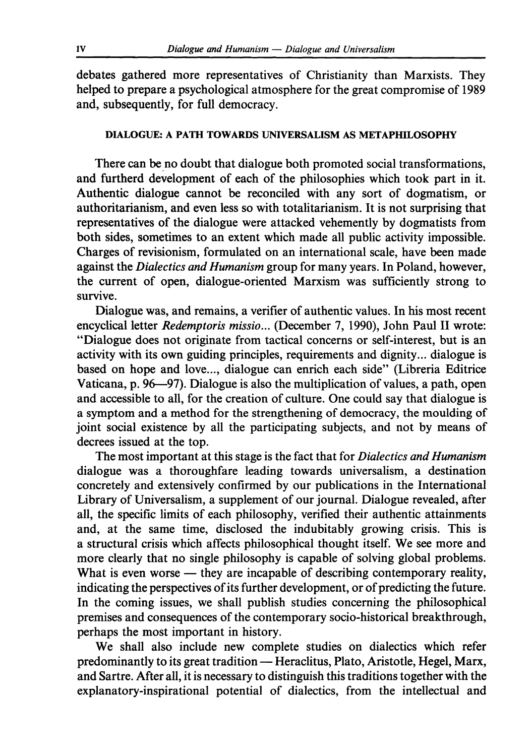debates gathered more representatives of Christianity than Marxists. They helped to prepare a psychological atmosphere for the great compromise of 1989 and, subsequently, for full democracy.

#### **DIALOGUE: A PATH TOWARDS UNIVERSALISM AS METAPHILOSOPHY**

There can be no doubt that dialogue both promoted social transformations, and furtherd development of each of the philosophies which took part in it. Authentic dialogue cannot be reconciled with any sort of dogmatism, or authoritarianism, and even less so with totalitarianism. It is not surprising that representatives of the dialogue were attacked vehemently by dogmatists from both sides, sometimes to an extent which made all public activity impossible. Charges of revisionism, formulated on an international scale, have been made against the *Dialectics and Humanism* group for many years. In Poland, however, the current of open, dialogue-oriented Marxism was sufficiently strong to survive.

Dialogue was, and remains, a verifier of authentic values. In his most recent encyclical letter *Redemptoris missio...* (December 7, 1990), John Paul II wrote: "Dialogue does not originate from tactical concerns or self-interest, but is an activity with its own guiding principles, requirements and dignity... dialogue is based on hope and love..., dialogue can enrich each side" (Libreria Editrice Vaticana, p. 96—97). Dialogue is also the multiplication of values, a path, open and accessible to all, for the creation of culture. One could say that dialogue is a symptom and a method for the strengthening of democracy, the moulding of joint social existence by all the participating subjects, and not by means of decrees issued at the top.

The most important at this stage is the fact that for *Dialectics and Humanism*  dialogue was a thoroughfare leading towards universalism, a destination concretely and extensively confirmed by our publications in the International Library of Universalism, a supplement of our journal. Dialogue revealed, after all, the specific limits of each philosophy, verified their authentic attainments and, at the same time, disclosed the indubitably growing crisis. This is a structural crisis which affects philosophical thought itself. We see more and more clearly that no single philosophy is capable of solving global problems. What is even worse — they are incapable of describing contemporary reality, indicating the perspectives of its further development, or of predicting the future. In the coming issues, we shall publish studies concerning the philosophical premises and consequences of the contemporary socio-historical breakthrough, perhaps the most important in history.

We shall also include new complete studies on dialectics which refer predominantly to its great tradition — Heraclitus, Plato, Aristotle, Hegel, Marx, and Sartre. After all, it is necessary to distinguish this traditions together with the explanatory-inspirational potential of dialectics, from the intellectual and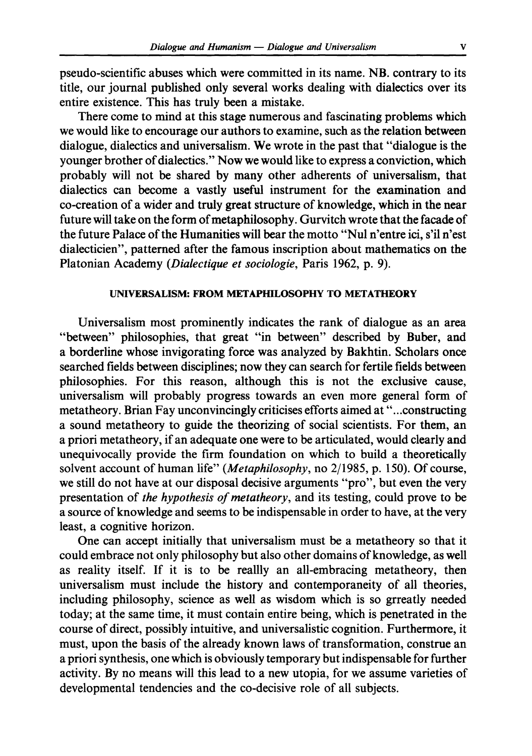pseudo-scientific abuses which were committed in its name. NB. contrary to its title, our journal published only several works dealing with dialectics over its entire existence. This has truly been a mistake.

There come to mind at this stage numerous and fascinating problems which we would like to encourage our authors to examine, such as the relation between dialogue, dialectics and universalism. We wrote in the past that "dialogue is the younger brother of dialectics." Now we would like to express a conviction, which probably will not be shared by many other adherents of universalism, that dialectics can become a vastly useful instrument for the examination and co-creation of a wider and truly great structure of knowledge, which in the near future will take on the form of metaphilosophy. Gurvitch wrote that the facade of the future Palace of the Humanities will bear the motto "Nu l n'entre ici, s'il n'est dialecticien", patterned after the famous inscription about mathematics on the Platonian Academy *(Dialectique et sociologie,* Paris 1962, p. 9).

## **UNIVERSALISM: FROM METAPfflLOSOPHY TO METATHEORY**

Universalism most prominently indicates the rank of dialogue as an area "between" philosophies, that great "in between" described by Buber, and a borderline whose invigorating force was analyzed by Bakhtin. Scholars once searched fields between disciplines; now they can search for fertile fields between philosophies. For this reason, although this is not the exclusive cause, universalism will probably progress towards an even more general form of metatheory. Brian Fay unconvincingly criticises efforts aimed at "...constructing a sound metatheory to guide the theorizing of social scientists. For them, an a priori metatheory, if an adequate one were to be articulated, would clearly and unequivocally provide the firm foundation on which to build a theoretically solvent account of human life" *{Metaphilosophy,* no 2/1985, p. 150). Of course, we still do not have at our disposal decisive arguments "pro", but even the very presentation of *the hypothesis of metatheory,* and its testing, could prove to be a source of knowledge and seems to be indispensable in order to have, at the very least, a cognitive horizon.

One can accept initially that universalism must be a metatheory so that it could embrace not only philosophy but also other domains of knowledge, as well as reality itself. If it is to be reallly an all-embracing metatheory, then universalism must include the history and contemporaneity of all theories, including philosophy, science as well as wisdom which is so grreatly needed today; at the same time, it must contain entire being, which is penetrated in the course of direct, possibly intuitive, and universalistic cognition. Furthermore, it must, upon the basis of the already known laws of transformation, construe an a priori synthesis, one which is obviously temporary but indispensable for further activity. By no means will this lead to a new Utopia, for we assume varieties of developmental tendencies and the co-decisive role of all subjects.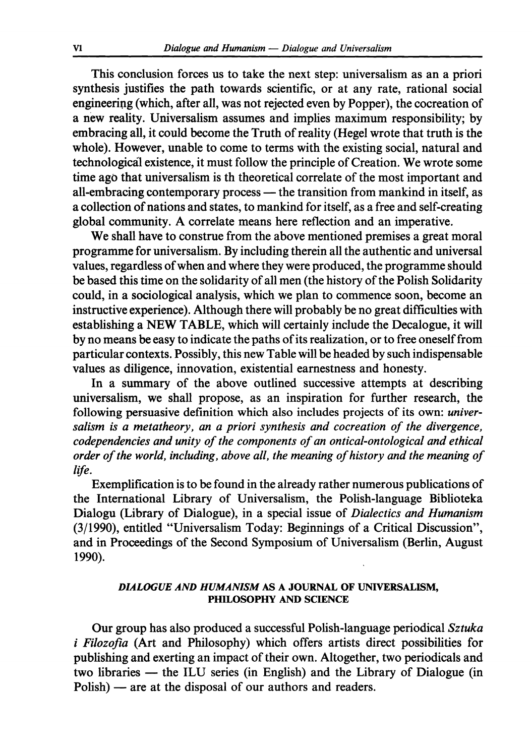This conclusion forces us to take the next step: universalism as an a priori synthesis justifies the path towards scientific, or at any rate, rational social engineering (which, after all, was not rejected even by Popper), the cocreation of a new reality. Universalism assumes and implies maximum responsibility; by embracing all, it could become the Truth of reality (Hegel wrote that truth is the whole). However, unable to come to terms with the existing social, natural and technological existence, it must follow the principle of Creation. We wrote some time ago that universalism is th theoretical correlate of the most important and aU-embracing contemporary process — the transition from mankind in itself, as a collection of nations and states, to mankind for itself, as a free and self-creating global community. A correlate means here reflection and an imperative.

We shall have to construe from the above mentioned premises a great moral programme for universalism. By including therein all the authentic and universal values, regardless of when and where they were produced, the programme should be based this time on the solidarity of all men (the history of the Polish Solidarity could, in a sociological analysis, which we plan to commence soon, become an instructive experience). Although there will probably be no great difficulties with establishing a NEW TABLE, which will certainly include the Decalogue, it will by no means be easy to indicate the paths of its realization, or to free oneself from particular contexts. Possibly, this new Table will be headed by such indispensable values as diligence, innovation, existential earnestness and honesty.

In a summary of the above outlined successive attempts at describing universalism, we shall propose, as an inspiration for further research, the following persuasive definition which also includes projects of its own: *universalism is a metatheory, an a priori synthesis and cocreation of the divergence, codependencies and unity of the components of an ontical-ontological and ethical order of the world, including, above all, the meaning of history and the meaning of life.* 

Exemplification is to be found in the already rather numerous publications of the International Library of Universalism, the Polish-language Biblioteka Dialogu (Library of Dialogue), in a special issue of *Dialectics and Humanism*   $(3/1990)$ , entitled "Universalism Today: Beginnings of a Critical Discussion", and in Proceedings of the Second Symposium of Universalism (Berlin, August 1990).

#### *DIALOGUE AND HUMANISM* **AS A JOURNAL OF UNIVERSALISM, PHILOSOPHY AND SCIENCE**

Our group has also produced a successful Polish-language periodical *Sztuka i Filozofia* (Art and Philosophy) which offers artists direct possibilities for publishing and exerting an impact of their own. Altogether, two periodicals and two libraries — the ILU series (in English) and the Library of Dialogue (in  $Polish$ ) — are at the disposal of our authors and readers.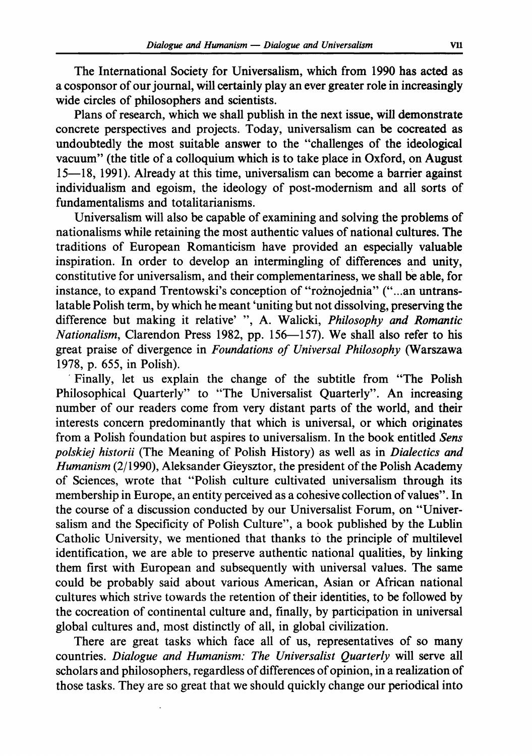The International Society for Universalism, which from 1990 has acted as a cosponsor of our journal, will certainly play an ever greater role in increasingly wide circles of philosophers and scientists.

Plans of research, which we shall publish in the next issue, will demonstrate concrete perspectives and projects. Today, universalism can be cocreated as undoubtedly the most suitable answer to the "challenges of the ideological vacuum" (the title of a colloquium which is to take place in Oxford, on August  $15$ —18, 1991). Already at this time, universalism can become a barrier against individualism and egoism, the ideology of post-modernism and all sorts of fundamentalisms and totalitarianisms.

Universalism wiU also be capable of examining and solving the problems of nationalisms while retaining the most authentic values of national cultures. The traditions of European Romanticism have provided an especially valuable inspiration. In order to develop an intermingling of differences and unity, constitutive for universalism, and their complementariness, we shall be able, for instance, to expand Trentowski's conception of "roznojednia" ("...an untranslatable Polish term, by which he meant 'uniting but not dissolving, preserving the difference but making it relative' ", A. Walicki, Philosophy and Romantic *Nationalism*, Clarendon Press 1982, pp. 156-157). We shall also refer to his great praise of divergence in *Foundations of Universal Philosophy* (Warszawa 1978, p. 655, in Polish).

Finally, let us explain the change of the subtitle from "The Polish Philosophical Quarterly" to "The Universalist Quarterly". An increasing number of our readers come from very distant parts of the world, and their interests concern predominantly that which is universal, or which originates from a Polish foundation but aspires to universalism. In the book entitled Sens *polskiej historii* (The Meaning of Polish History) as well as in *Dialectics and Humanism* (2/1990), Aleksander Gieysztor, the president of the Polish Academy of Sciences, wrote that "Polish culture cultivated universalism through its membership in Europe, an entity perceived as a cohesive collection of values". In the course of a discussion conducted by our Universalist Forum, on "Universalism and the Specificity of Polish Culture", a book published by the Lublin Catholic University, we mentioned that thanks to the principle of multilevel identification, we are able to preserve authentic national qualities, by linking them first with European and subsequently with universal values. The same could be probably said about various American, Asian or African national cultures which strive towards the retention of their identities, to be followed by the cocreation of continental culture and, finally, by participation in universal global cultures and, most distinctly of all, in global civilization.

There are great tasks which face all of us, representatives of so many countries. *Dialogue and Humanism: The Universalist Quarterly* will serve all scholars and philosophers, regardless of differences of opinion, in a realization of those tasks. They are so great that we should quickly change our periodical into